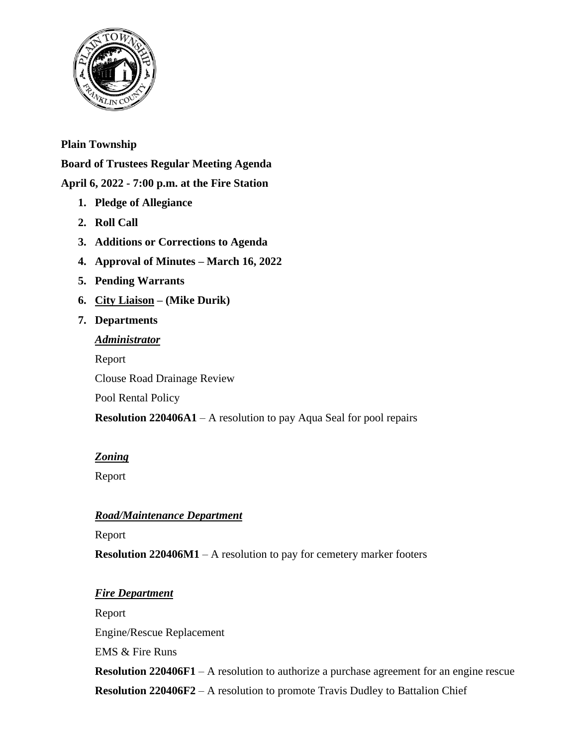

# **Plain Township**

**Board of Trustees Regular Meeting Agenda**

# **April 6, 2022 - 7:00 p.m. at the Fire Station**

- **1. Pledge of Allegiance**
- **2. Roll Call**
- **3. Additions or Corrections to Agenda**
- **4. Approval of Minutes – March 16, 2022**
- **5. Pending Warrants**
- **6. City Liaison – (Mike Durik)**
- **7. Departments**

# *Administrator* Report Clouse Road Drainage Review Pool Rental Policy **Resolution 220406A1** – A resolution to pay Aqua Seal for pool repairs

## *Zoning*

Report

# *Road/Maintenance Department*

Report

**Resolution 220406M1** – A resolution to pay for cemetery marker footers

## *Fire Department*

Report Engine/Rescue Replacement EMS & Fire Runs **Resolution 220406F1** – A resolution to authorize a purchase agreement for an engine rescue **Resolution 220406F2** – A resolution to promote Travis Dudley to Battalion Chief